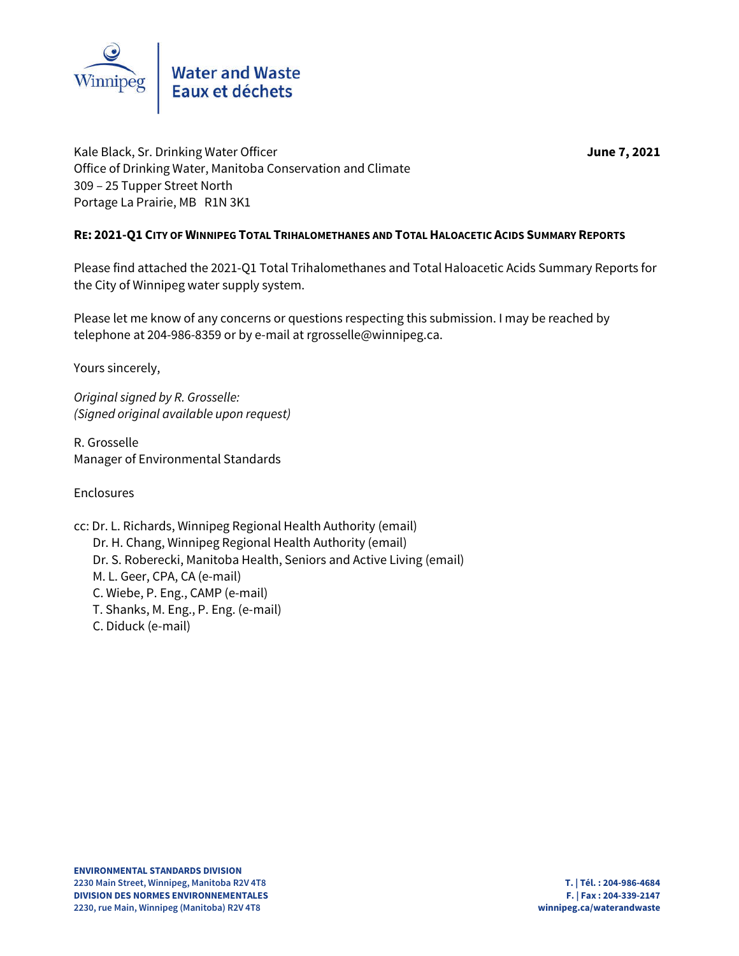

Kale Black, Sr. Drinking Water Officer **June 7, 2021** Office of Drinking Water, Manitoba Conservation and Climate 309 – 25 Tupper Street North Portage La Prairie, MB R1N 3K1

### **RE: 2021-Q1 CITY OF WINNIPEG TOTAL TRIHALOMETHANES AND TOTAL HALOACETIC ACIDS SUMMARY REPORTS**

Please find attached the 2021-Q1 Total Trihalomethanes and Total Haloacetic Acids Summary Reports for the City of Winnipeg water supply system.

Please let me know of any concerns or questions respecting this submission. I may be reached by telephone at 204-986-8359 or by e-mail at rgrosselle@winnipeg.ca.

Yours sincerely,

*Original signed by R. Grosselle: (Signed original available upon request)*

R. Grosselle Manager of Environmental Standards

Enclosures

cc: Dr. L. Richards, Winnipeg Regional Health Authority (email) Dr. H. Chang, Winnipeg Regional Health Authority (email) Dr. S. Roberecki, Manitoba Health, Seniors and Active Living (email) M. L. Geer, CPA, CA (e-mail) C. Wiebe, P. Eng., CAMP (e-mail) T. Shanks, M. Eng., P. Eng. (e-mail) C. Diduck (e-mail)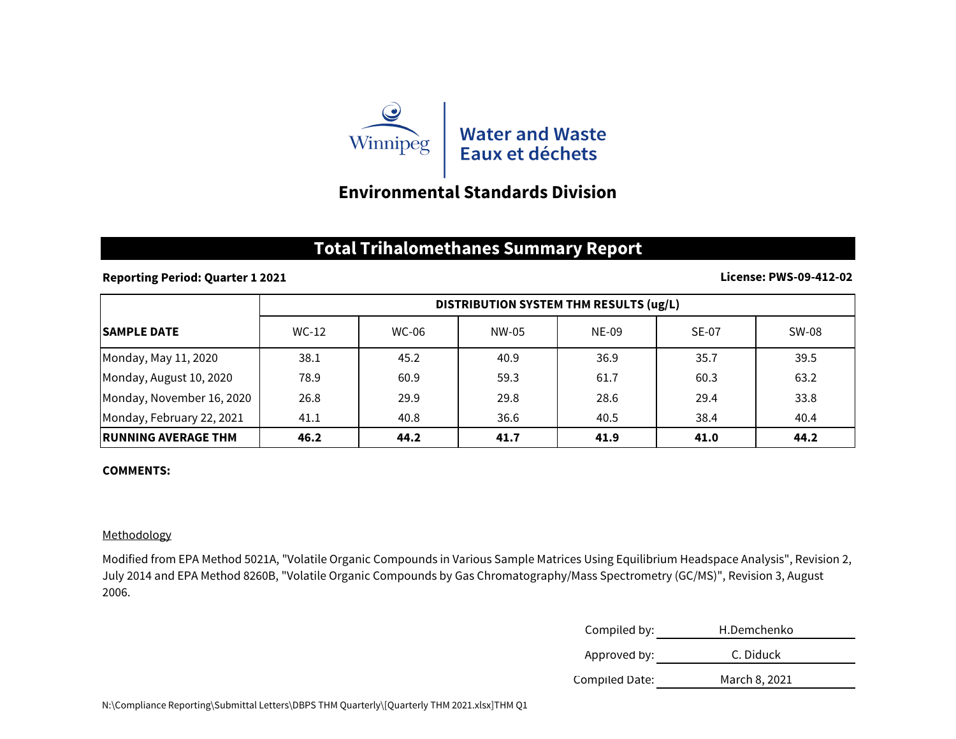

## **Environmental Standards Division**

## **Total Trihalomethanes Summary Report**

#### **Reporting Period: Quarter 1 2021**

#### **License: PWS-09-412-02**

|                             | DISTRIBUTION SYSTEM THM RESULTS (ug/L) |              |       |       |              |       |
|-----------------------------|----------------------------------------|--------------|-------|-------|--------------|-------|
| <b>SAMPLE DATE</b>          | $WC-12$                                | <b>WC-06</b> | NW-05 | NE-09 | <b>SE-07</b> | SW-08 |
| Monday, May 11, 2020        | 38.1                                   | 45.2         | 40.9  | 36.9  | 35.7         | 39.5  |
| Monday, August 10, 2020     | 78.9                                   | 60.9         | 59.3  | 61.7  | 60.3         | 63.2  |
| Monday, November 16, 2020   | 26.8                                   | 29.9         | 29.8  | 28.6  | 29.4         | 33.8  |
| Monday, February 22, 2021   | 41.1                                   | 40.8         | 36.6  | 40.5  | 38.4         | 40.4  |
| <b>IRUNNING AVERAGE THM</b> | 46.2                                   | 44.2         | 41.7  | 41.9  | 41.0         | 44.2  |

#### **COMMENTS:**

#### Methodology

Modified from EPA Method 5021A, "Volatile Organic Compounds in Various Sample Matrices Using Equilibrium Headspace Analysis", Revision 2, July 2014 and EPA Method 8260B, "Volatile Organic Compounds by Gas Chromatography/Mass Spectrometry (GC/MS)", Revision 3, August 2006.

| Compiled by:   | H.Demchenko   |
|----------------|---------------|
| Approved by:   | C. Diduck     |
| Compiled Date: | March 8, 2021 |